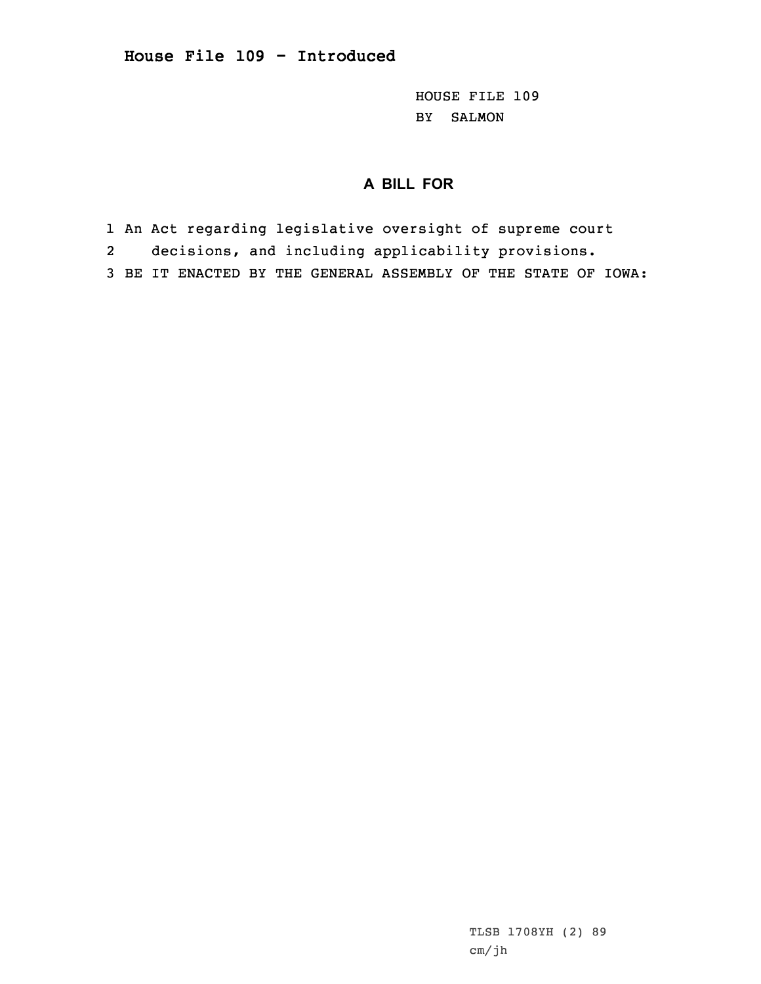HOUSE FILE 109 BY SALMON

## **A BILL FOR**

- 1 An Act regarding legislative oversight of supreme court
- 2decisions, and including applicability provisions.
- 3 BE IT ENACTED BY THE GENERAL ASSEMBLY OF THE STATE OF IOWA:

TLSB 1708YH (2) 89 cm/jh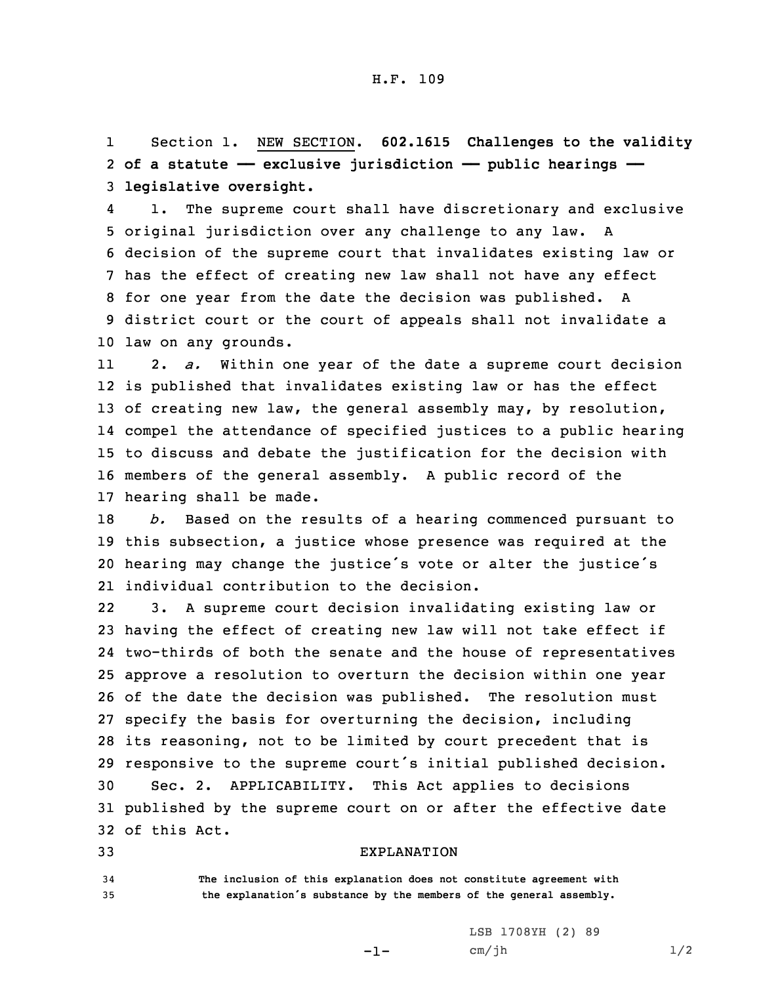1 Section 1. NEW SECTION. **602.1615 Challenges to the validity** 2 **of <sup>a</sup> statute —— exclusive jurisdiction —— public hearings ——** 3 **legislative oversight.**

4 1. The supreme court shall have discretionary and exclusive original jurisdiction over any challenge to any law. <sup>A</sup> decision of the supreme court that invalidates existing law or has the effect of creating new law shall not have any effect for one year from the date the decision was published. <sup>A</sup> district court or the court of appeals shall not invalidate <sup>a</sup> law on any grounds.

11 2. *a.* Within one year of the date <sup>a</sup> supreme court decision is published that invalidates existing law or has the effect 13 of creating new law, the general assembly may, by resolution, compel the attendance of specified justices to <sup>a</sup> public hearing to discuss and debate the justification for the decision with members of the general assembly. <sup>A</sup> public record of the hearing shall be made.

 *b.* Based on the results of <sup>a</sup> hearing commenced pursuant to this subsection, <sup>a</sup> justice whose presence was required at the hearing may change the justice's vote or alter the justice's individual contribution to the decision.

22 3. <sup>A</sup> supreme court decision invalidating existing law or having the effect of creating new law will not take effect if two-thirds of both the senate and the house of representatives approve <sup>a</sup> resolution to overturn the decision within one year of the date the decision was published. The resolution must specify the basis for overturning the decision, including its reasoning, not to be limited by court precedent that is responsive to the supreme court's initial published decision. Sec. 2. APPLICABILITY. This Act applies to decisions published by the supreme court on or after the effective date of this Act.

## 33 EXPLANATION

34 **The inclusion of this explanation does not constitute agreement with** <sup>35</sup> **the explanation's substance by the members of the general assembly.**

-1-

LSB 1708YH (2) 89  $cm/jh$   $1/2$